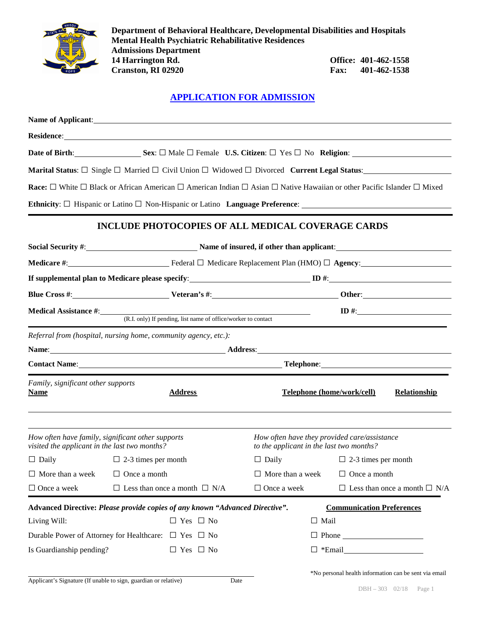

**Department of Behavioral Healthcare, Developmental Disabilities and Hospitals Mental Health Psychiatric Rehabilitative Residences Admissions Department 14 Office:** 401-462-1558<br>**Fax:** 401-462-1538 **Cranston, RI 02920 Fax:** 

## **APPLICATION FOR ADMISSION**

| Residence: New York Contract the Contract of the Contract of the Contract of the Contract of the Contract of the Contract of the Contract of the Contract of the Contract of the Contract of the Contract of the Contract of t |                                                                                                        |                                                                                                                |                                                                                          |  |                                          |                     |  |  |
|--------------------------------------------------------------------------------------------------------------------------------------------------------------------------------------------------------------------------------|--------------------------------------------------------------------------------------------------------|----------------------------------------------------------------------------------------------------------------|------------------------------------------------------------------------------------------|--|------------------------------------------|---------------------|--|--|
|                                                                                                                                                                                                                                | Date of Birth: Sex: $\square$ Male $\square$ Female U.S. Citizen: $\square$ Yes $\square$ No Religion: |                                                                                                                |                                                                                          |  |                                          |                     |  |  |
| <b>Marital Status</b> : $\square$ Single $\square$ Married $\square$ Civil Union $\square$ Widowed $\square$ Divorced <b>Current Legal Status</b> :                                                                            |                                                                                                        |                                                                                                                |                                                                                          |  |                                          |                     |  |  |
| <b>Race:</b> $\Box$ White $\Box$ Black or African American $\Box$ American Indian $\Box$ Asian $\Box$ Native Hawaiian or other Pacific Islander $\Box$ Mixed                                                                   |                                                                                                        |                                                                                                                |                                                                                          |  |                                          |                     |  |  |
|                                                                                                                                                                                                                                |                                                                                                        |                                                                                                                |                                                                                          |  |                                          |                     |  |  |
|                                                                                                                                                                                                                                |                                                                                                        | <b>INCLUDE PHOTOCOPIES OF ALL MEDICAL COVERAGE CARDS</b>                                                       |                                                                                          |  |                                          |                     |  |  |
|                                                                                                                                                                                                                                | Social Security #: Name of insured, if other than applicant:                                           |                                                                                                                |                                                                                          |  |                                          |                     |  |  |
|                                                                                                                                                                                                                                |                                                                                                        |                                                                                                                |                                                                                          |  |                                          |                     |  |  |
|                                                                                                                                                                                                                                |                                                                                                        |                                                                                                                |                                                                                          |  |                                          |                     |  |  |
|                                                                                                                                                                                                                                |                                                                                                        |                                                                                                                |                                                                                          |  |                                          |                     |  |  |
|                                                                                                                                                                                                                                |                                                                                                        | <b>Medical Assistance #:</b> (R.I. only) If pending, list name of office/worker to contact<br>$\mathbf{ID}$ #: |                                                                                          |  |                                          |                     |  |  |
| Referral from (hospital, nursing home, community agency, etc.):                                                                                                                                                                |                                                                                                        |                                                                                                                |                                                                                          |  |                                          |                     |  |  |
|                                                                                                                                                                                                                                |                                                                                                        |                                                                                                                |                                                                                          |  |                                          |                     |  |  |
| Contact Name: Telephone: Telephone: Telephone:                                                                                                                                                                                 |                                                                                                        |                                                                                                                |                                                                                          |  |                                          |                     |  |  |
| Family, significant other supports<br><b>Name</b>                                                                                                                                                                              |                                                                                                        | <b>Address</b>                                                                                                 |                                                                                          |  | Telephone (home/work/cell)               | <b>Relationship</b> |  |  |
| How often have family, significant other supports<br>visited the applicant in the last two months?                                                                                                                             |                                                                                                        |                                                                                                                | How often have they provided care/assistance<br>to the applicant in the last two months? |  |                                          |                     |  |  |
| $\Box$ Daily $\Box$ 2-3 times per month                                                                                                                                                                                        |                                                                                                        |                                                                                                                |                                                                                          |  | $\Box$ Daily $\Box$ 2-3 times per month  |                     |  |  |
| $\Box$ More than a week                                                                                                                                                                                                        | $\Box$ Once a month                                                                                    |                                                                                                                | $\Box$ More than a week                                                                  |  | $\Box$ Once a month                      |                     |  |  |
| $\Box$ Once a week                                                                                                                                                                                                             |                                                                                                        | $\Box$ Less than once a month $\Box$ N/A                                                                       | $\Box$ Once a week                                                                       |  | $\Box$ Less than once a month $\Box$ N/A |                     |  |  |
| Advanced Directive: Please provide copies of any known "Advanced Directive".                                                                                                                                                   |                                                                                                        |                                                                                                                |                                                                                          |  | <b>Communication Preferences</b>         |                     |  |  |
| Living Will:                                                                                                                                                                                                                   |                                                                                                        | $\Box$ Yes $\Box$ No                                                                                           | $\Box$ Mail                                                                              |  |                                          |                     |  |  |
| Durable Power of Attorney for Healthcare: $\Box$ Yes $\Box$ No                                                                                                                                                                 |                                                                                                        |                                                                                                                |                                                                                          |  |                                          |                     |  |  |
| Is Guardianship pending?                                                                                                                                                                                                       |                                                                                                        | $\Box$ Yes $\Box$ No                                                                                           |                                                                                          |  |                                          |                     |  |  |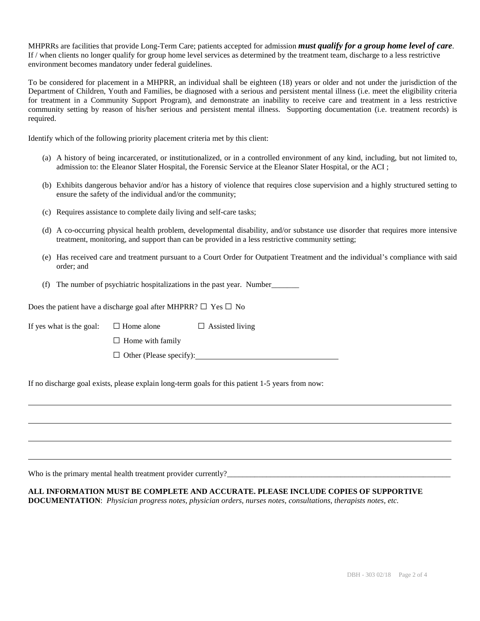MHPRRs are facilities that provide Long-Term Care; patients accepted for admission *must qualify for a group home level of care*. If / when clients no longer qualify for group home level services as determined by the treatment team, discharge to a less restrictive environment becomes mandatory under federal guidelines.

To be considered for placement in a MHPRR, an individual shall be eighteen (18) years or older and not under the jurisdiction of the Department of Children, Youth and Families, be diagnosed with a serious and persistent mental illness (i.e. meet the eligibility criteria for treatment in a Community Support Program), and demonstrate an inability to receive care and treatment in a less restrictive community setting by reason of his/her serious and persistent mental illness. Supporting documentation (i.e. treatment records) is required.

Identify which of the following priority placement criteria met by this client:

- (a) A history of being incarcerated, or institutionalized, or in a controlled environment of any kind, including, but not limited to, admission to: the Eleanor Slater Hospital, the Forensic Service at the Eleanor Slater Hospital, or the ACI ;
- (b) Exhibits dangerous behavior and/or has a history of violence that requires close supervision and a highly structured setting to ensure the safety of the individual and/or the community;
- (c) Requires assistance to complete daily living and self-care tasks;
- (d) A co-occurring physical health problem, developmental disability, and/or substance use disorder that requires more intensive treatment, monitoring, and support than can be provided in a less restrictive community setting;
- (e) Has received care and treatment pursuant to a Court Order for Outpatient Treatment and the individual's compliance with said order; and
- (f) The number of psychiatric hospitalizations in the past year. Number\_\_\_\_\_\_\_

Does the patient have a discharge goal after MHPRR?  $\Box$  Yes  $\Box$  No

If yes what is the goal:  $\Box$  Home alone  $\Box$  Assisted living

 $\square$  Home with family

 $\Box$  Other (Please specify):

If no discharge goal exists, please explain long-term goals for this patient 1-5 years from now:

Who is the primary mental health treatment provider currently?\_\_\_\_\_\_\_\_\_\_\_\_\_\_\_\_\_\_

#### **ALL INFORMATION MUST BE COMPLETE AND ACCURATE. PLEASE INCLUDE COPIES OF SUPPORTIVE**

**DOCUMENTATION**: *Physician progress notes, physician orders, nurses notes, consultations, therapists notes, etc.*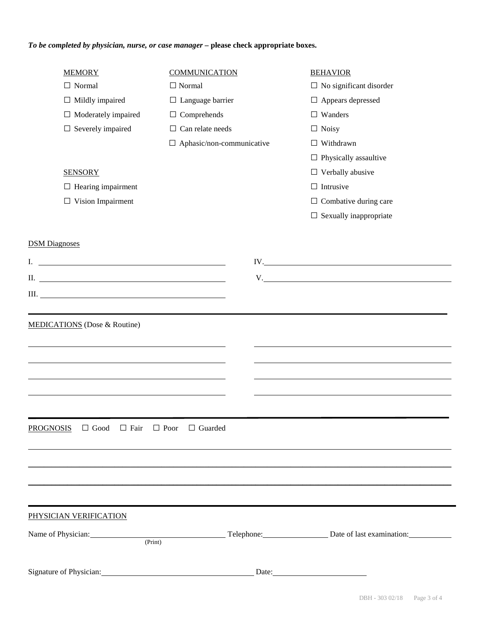# *To be completed by physician, nurse, or case manager* **– please check appropriate boxes.**

| <b>MEMORY</b>                                                                                                                                                                                                                        | <b>COMMUNICATION</b>                      | <b>BEHAVIOR</b>                                                                                                                                                                                                                    |  |  |
|--------------------------------------------------------------------------------------------------------------------------------------------------------------------------------------------------------------------------------------|-------------------------------------------|------------------------------------------------------------------------------------------------------------------------------------------------------------------------------------------------------------------------------------|--|--|
| $\Box$ Normal                                                                                                                                                                                                                        | $\Box$ Normal                             | $\Box$ No significant disorder                                                                                                                                                                                                     |  |  |
| $\Box$ Mildly impaired                                                                                                                                                                                                               | $\Box$ Language barrier                   | $\Box$ Appears depressed<br>$\Box$ Wanders<br>$\Box$ Noisy<br>$\Box$ Withdrawn                                                                                                                                                     |  |  |
| $\Box$ Moderately impaired                                                                                                                                                                                                           | $\Box$ Comprehends                        |                                                                                                                                                                                                                                    |  |  |
| $\Box$ Severely impaired                                                                                                                                                                                                             | $\Box$ Can relate needs                   |                                                                                                                                                                                                                                    |  |  |
|                                                                                                                                                                                                                                      | $\Box$ Aphasic/non-communicative          |                                                                                                                                                                                                                                    |  |  |
|                                                                                                                                                                                                                                      |                                           | $\Box$ Physically assaultive                                                                                                                                                                                                       |  |  |
| <b>SENSORY</b>                                                                                                                                                                                                                       |                                           | $\Box$ Verbally abusive                                                                                                                                                                                                            |  |  |
| $\Box$ Hearing impairment                                                                                                                                                                                                            |                                           | $\Box$ Intrusive                                                                                                                                                                                                                   |  |  |
| $\Box$ Vision Impairment                                                                                                                                                                                                             |                                           | $\Box$ Combative during care                                                                                                                                                                                                       |  |  |
|                                                                                                                                                                                                                                      |                                           | $\Box$ Sexually inappropriate                                                                                                                                                                                                      |  |  |
|                                                                                                                                                                                                                                      |                                           |                                                                                                                                                                                                                                    |  |  |
| <b>DSM</b> Diagnoses                                                                                                                                                                                                                 |                                           |                                                                                                                                                                                                                                    |  |  |
| I. <u>All and the same of the same of the same of the same of the same of the same of the same of the same of the same of the same of the same of the same of the same of the same of the same of the same of the same of the sa</u> |                                           | IV.                                                                                                                                                                                                                                |  |  |
|                                                                                                                                                                                                                                      |                                           | V. New York and the contract of the contract of the contract of the contract of the contract of the contract of the contract of the contract of the contract of the contract of the contract of the contract of the contract o     |  |  |
| $\text{III.}$ $\_\_\_\_\_\_\_\_\_$                                                                                                                                                                                                   |                                           |                                                                                                                                                                                                                                    |  |  |
|                                                                                                                                                                                                                                      |                                           |                                                                                                                                                                                                                                    |  |  |
| MEDICATIONS (Dose & Routine)                                                                                                                                                                                                         |                                           |                                                                                                                                                                                                                                    |  |  |
|                                                                                                                                                                                                                                      |                                           |                                                                                                                                                                                                                                    |  |  |
|                                                                                                                                                                                                                                      |                                           |                                                                                                                                                                                                                                    |  |  |
|                                                                                                                                                                                                                                      |                                           |                                                                                                                                                                                                                                    |  |  |
|                                                                                                                                                                                                                                      |                                           |                                                                                                                                                                                                                                    |  |  |
|                                                                                                                                                                                                                                      |                                           |                                                                                                                                                                                                                                    |  |  |
|                                                                                                                                                                                                                                      |                                           |                                                                                                                                                                                                                                    |  |  |
|                                                                                                                                                                                                                                      |                                           |                                                                                                                                                                                                                                    |  |  |
| <b>PROGNOSIS</b> $\Box$ Good $\Box$ Fair                                                                                                                                                                                             | $\Box$ Poor<br>$\Box$ Guarded             |                                                                                                                                                                                                                                    |  |  |
|                                                                                                                                                                                                                                      |                                           |                                                                                                                                                                                                                                    |  |  |
|                                                                                                                                                                                                                                      |                                           |                                                                                                                                                                                                                                    |  |  |
|                                                                                                                                                                                                                                      |                                           |                                                                                                                                                                                                                                    |  |  |
|                                                                                                                                                                                                                                      |                                           |                                                                                                                                                                                                                                    |  |  |
|                                                                                                                                                                                                                                      |                                           |                                                                                                                                                                                                                                    |  |  |
| PHYSICIAN VERIFICATION                                                                                                                                                                                                               |                                           |                                                                                                                                                                                                                                    |  |  |
|                                                                                                                                                                                                                                      |                                           | Name of Physician: <u>Physician</u> Print Physician Christ Christ Christ Christ Christ Christ Christ Christ Christ Christ Christ Christ Christ Christ Christ Christ Christ Christ Christ Christ Christ Christ Christ Christ Christ |  |  |
|                                                                                                                                                                                                                                      |                                           |                                                                                                                                                                                                                                    |  |  |
|                                                                                                                                                                                                                                      |                                           |                                                                                                                                                                                                                                    |  |  |
|                                                                                                                                                                                                                                      | Signature of Physician: Date: Date: Date: |                                                                                                                                                                                                                                    |  |  |